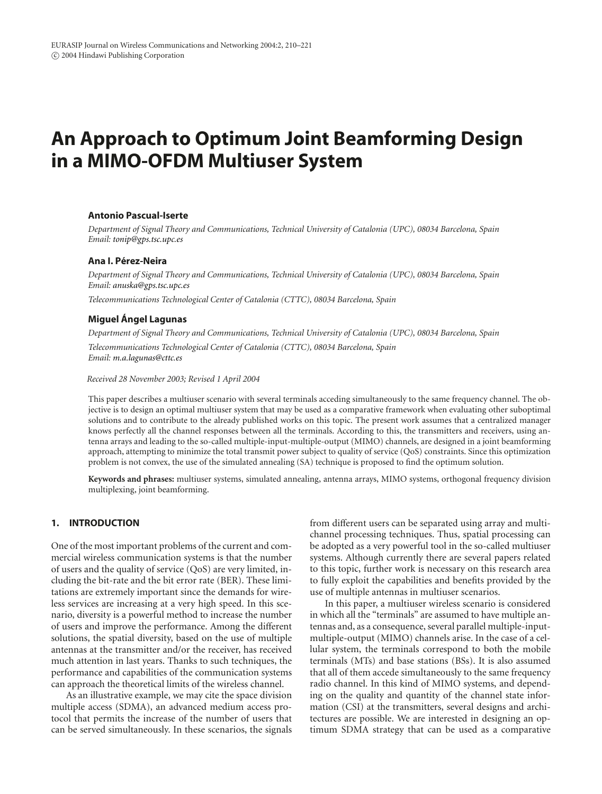# **An Approach to Optimum Joint Beamforming Design in a MIMO-OFDM Multiuser System**

#### **Antonio Pascual-Iserte**

*Department of Signal Theory and Communications, Technical University of Catalonia (UPC), 08034 Barcelona, Spain Email: [tonip@gps.tsc.upc.es](mailto:tonip@gps.tsc.upc.es)*

# **Ana I. Perez-Neira ´**

*Department of Signal Theory and Communications, Technical University of Catalonia (UPC), 08034 Barcelona, Spain Email: [anuska@gps.tsc.upc.es](mailto:anuska@gps.tsc.upc.es)*

*Telecommunications Technological Center of Catalonia (CTTC), 08034 Barcelona, Spain*

## **Miguel Angel Lagunas ´**

*Department of Signal Theory and Communications, Technical University of Catalonia (UPC), 08034 Barcelona, Spain Telecommunications Technological Center of Catalonia (CTTC), 08034 Barcelona, Spain*

*Email: [m.a.lagunas@cttc.es](mailto:m.a.lagunas@cttc.es)*

*Received 28 November 2003; Revised 1 April 2004*

This paper describes a multiuser scenario with several terminals acceding simultaneously to the same frequency channel. The objective is to design an optimal multiuser system that may be used as a comparative framework when evaluating other suboptimal solutions and to contribute to the already published works on this topic. The present work assumes that a centralized manager knows perfectly all the channel responses between all the terminals. According to this, the transmitters and receivers, using antenna arrays and leading to the so-called multiple-input-multiple-output (MIMO) channels, are designed in a joint beamforming approach, attempting to minimize the total transmit power subject to quality of service (QoS) constraints. Since this optimization problem is not convex, the use of the simulated annealing (SA) technique is proposed to find the optimum solution.

**Keywords and phrases:** multiuser systems, simulated annealing, antenna arrays, MIMO systems, orthogonal frequency division multiplexing, joint beamforming.

# **1. INTRODUCTION**

One of the most important problems of the current and commercial wireless communication systems is that the number of users and the quality of service (QoS) are very limited, including the bit-rate and the bit error rate (BER). These limitations are extremely important since the demands for wireless services are increasing at a very high speed. In this scenario, diversity is a powerful method to increase the number of users and improve the performance. Among the different solutions, the spatial diversity, based on the use of multiple antennas at the transmitter and/or the receiver, has received much attention in last years. Thanks to such techniques, the performance and capabilities of the communication systems can approach the theoretical limits of the wireless channel.

As an illustrative example, we may cite the space division multiple access (SDMA), an advanced medium access protocol that permits the increase of the number of users that can be served simultaneously. In these scenarios, the signals

from different users can be separated using array and multichannel processing techniques. Thus, spatial processing can be adopted as a very powerful tool in the so-called multiuser systems. Although currently there are several papers related to this topic, further work is necessary on this research area to fully exploit the capabilities and benefits provided by the use of multiple antennas in multiuser scenarios.

In this paper, a multiuser wireless scenario is considered in which all the "terminals" are assumed to have multiple antennas and, as a consequence, several parallel multiple-inputmultiple-output (MIMO) channels arise. In the case of a cellular system, the terminals correspond to both the mobile terminals (MTs) and base stations (BSs). It is also assumed that all of them accede simultaneously to the same frequency radio channel. In this kind of MIMO systems, and depending on the quality and quantity of the channel state information (CSI) at the transmitters, several designs and architectures are possible. We are interested in designing an optimum SDMA strategy that can be used as a comparative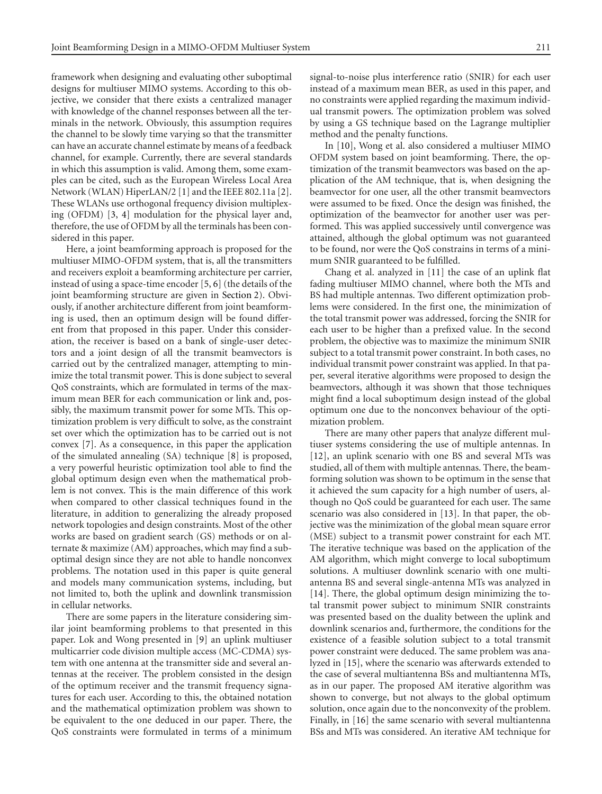framework when designing and evaluating other suboptimal designs for multiuser MIMO systems. According to this objective, we consider that there exists a centralized manager with knowledge of the channel responses between all the terminals in the network. Obviously, this assumption requires the channel to be slowly time varying so that the transmitter can have an accurate channel estimate by means of a feedback channel, for example. Currently, there are several standards in which this assumption is valid. Among them, some examples can be cited, such as the European Wireless Local Area Network (WLAN) HiperLAN/2 [\[1\]](#page-10-0) and the IEEE 802.11a [\[2\]](#page-10-1). These WLANs use orthogonal frequency division multiplexing (OFDM) [\[3](#page-10-2), [4](#page-10-3)] modulation for the physical layer and, therefore, the use of OFDM by all the terminals has been considered in this paper.

Here, a joint beamforming approach is proposed for the multiuser MIMO-OFDM system, that is, all the transmitters and receivers exploit a beamforming architecture per carrier, instead of using a space-time encoder [\[5](#page-10-4), [6](#page-10-5)] (the details of the joint beamforming structure are given in [Section 2\)](#page-2-0). Obviously, if another architecture different from joint beamforming is used, then an optimum design will be found different from that proposed in this paper. Under this consideration, the receiver is based on a bank of single-user detectors and a joint design of all the transmit beamvectors is carried out by the centralized manager, attempting to minimize the total transmit power. This is done subject to several QoS constraints, which are formulated in terms of the maximum mean BER for each communication or link and, possibly, the maximum transmit power for some MTs. This optimization problem is very difficult to solve, as the constraint set over which the optimization has to be carried out is not convex [\[7](#page-10-6)]. As a consequence, in this paper the application of the simulated annealing (SA) technique [\[8](#page-10-7)] is proposed, a very powerful heuristic optimization tool able to find the global optimum design even when the mathematical problem is not convex. This is the main difference of this work when compared to other classical techniques found in the literature, in addition to generalizing the already proposed network topologies and design constraints. Most of the other works are based on gradient search (GS) methods or on alternate & maximize (AM) approaches, which may find a suboptimal design since they are not able to handle nonconvex problems. The notation used in this paper is quite general and models many communication systems, including, but not limited to, both the uplink and downlink transmission in cellular networks.

There are some papers in the literature considering similar joint beamforming problems to that presented in this paper. Lok and Wong presented in [\[9](#page-10-8)] an uplink multiuser multicarrier code division multiple access (MC-CDMA) system with one antenna at the transmitter side and several antennas at the receiver. The problem consisted in the design of the optimum receiver and the transmit frequency signatures for each user. According to this, the obtained notation and the mathematical optimization problem was shown to be equivalent to the one deduced in our paper. There, the QoS constraints were formulated in terms of a minimum

signal-to-noise plus interference ratio (SNIR) for each user instead of a maximum mean BER, as used in this paper, and no constraints were applied regarding the maximum individual transmit powers. The optimization problem was solved by using a GS technique based on the Lagrange multiplier method and the penalty functions.

In [\[10\]](#page-10-9), Wong et al. also considered a multiuser MIMO OFDM system based on joint beamforming. There, the optimization of the transmit beamvectors was based on the application of the AM technique, that is, when designing the beamvector for one user, all the other transmit beamvectors were assumed to be fixed. Once the design was finished, the optimization of the beamvector for another user was performed. This was applied successively until convergence was attained, although the global optimum was not guaranteed to be found, nor were the QoS constrains in terms of a minimum SNIR guaranteed to be fulfilled.

Chang et al. analyzed in [\[11](#page-10-10)] the case of an uplink flat fading multiuser MIMO channel, where both the MTs and BS had multiple antennas. Two different optimization problems were considered. In the first one, the minimization of the total transmit power was addressed, forcing the SNIR for each user to be higher than a prefixed value. In the second problem, the objective was to maximize the minimum SNIR subject to a total transmit power constraint. In both cases, no individual transmit power constraint was applied. In that paper, several iterative algorithms were proposed to design the beamvectors, although it was shown that those techniques might find a local suboptimum design instead of the global optimum one due to the nonconvex behaviour of the optimization problem.

There are many other papers that analyze different multiuser systems considering the use of multiple antennas. In [\[12](#page-10-11)], an uplink scenario with one BS and several MTs was studied, all of them with multiple antennas. There, the beamforming solution was shown to be optimum in the sense that it achieved the sum capacity for a high number of users, although no QoS could be guaranteed for each user. The same scenario was also considered in [\[13](#page-10-12)]. In that paper, the objective was the minimization of the global mean square error (MSE) subject to a transmit power constraint for each MT. The iterative technique was based on the application of the AM algorithm, which might converge to local suboptimum solutions. A multiuser downlink scenario with one multiantenna BS and several single-antenna MTs was analyzed in [\[14](#page-10-13)]. There, the global optimum design minimizing the total transmit power subject to minimum SNIR constraints was presented based on the duality between the uplink and downlink scenarios and, furthermore, the conditions for the existence of a feasible solution subject to a total transmit power constraint were deduced. The same problem was analyzed in [\[15\]](#page-10-14), where the scenario was afterwards extended to the case of several multiantenna BSs and multiantenna MTs, as in our paper. The proposed AM iterative algorithm was shown to converge, but not always to the global optimum solution, once again due to the nonconvexity of the problem. Finally, in [\[16\]](#page-10-15) the same scenario with several multiantenna BSs and MTs was considered. An iterative AM technique for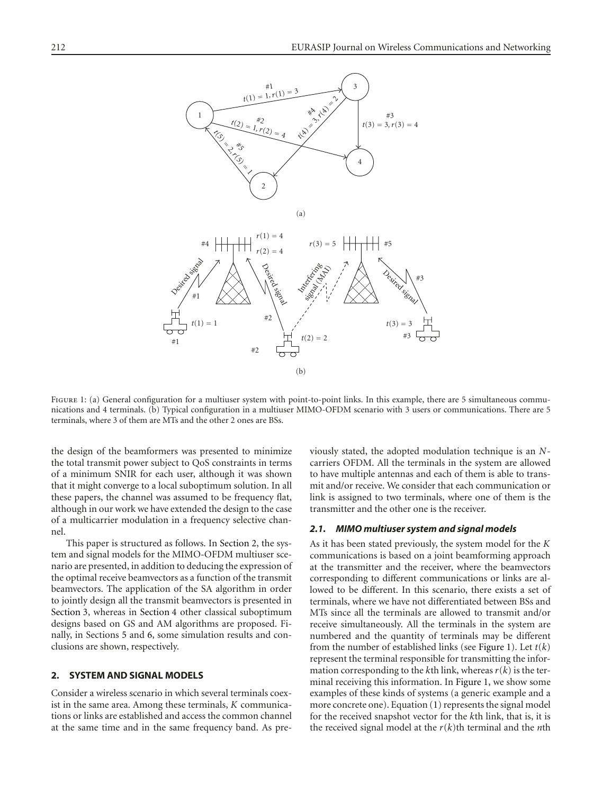

<span id="page-2-1"></span>FIGURE 1: (a) General configuration for a multiuser system with point-to-point links. In this example, there are 5 simultaneous communications and 4 terminals. (b) Typical configuration in a multiuser MIMO-OFDM scenario with 3 users or communications. There are 5 terminals, where 3 of them are MTs and the other 2 ones are BSs.

the design of the beamformers was presented to minimize the total transmit power subject to QoS constraints in terms of a minimum SNIR for each user, although it was shown that it might converge to a local suboptimum solution. In all these papers, the channel was assumed to be frequency flat, although in our work we have extended the design to the case of a multicarrier modulation in a frequency selective channel.

This paper is structured as follows. In [Section 2,](#page-2-0) the system and signal models for the MIMO-OFDM multiuser scenario are presented, in addition to deducing the expression of the optimal receive beamvectors as a function of the transmit beamvectors. The application of the SA algorithm in order to jointly design all the transmit beamvectors is presented in [Section 3,](#page-3-0) whereas in [Section 4](#page-6-0) other classical suboptimum designs based on GS and AM algorithms are proposed. Finally, in Sections [5](#page-7-0) and [6,](#page-8-0) some simulation results and conclusions are shown, respectively.

## <span id="page-2-0"></span>**2. SYSTEM AND SIGNAL MODELS**

Consider a wireless scenario in which several terminals coexist in the same area. Among these terminals, *K* communications or links are established and access the common channel at the same time and in the same frequency band. As previously stated, the adopted modulation technique is an *N*carriers OFDM. All the terminals in the system are allowed to have multiple antennas and each of them is able to transmit and/or receive. We consider that each communication or link is assigned to two terminals, where one of them is the transmitter and the other one is the receiver.

#### *2.1. MIMO multiuser system and signal models*

As it has been stated previously, the system model for the *K* communications is based on a joint beamforming approach at the transmitter and the receiver, where the beamvectors corresponding to different communications or links are allowed to be different. In this scenario, there exists a set of terminals, where we have not differentiated between BSs and MTs since all the terminals are allowed to transmit and/or receive simultaneously. All the terminals in the system are numbered and the quantity of terminals may be different from the number of established links (see [Figure 1\)](#page-2-1). Let *t*(*k*) represent the terminal responsible for transmitting the information corresponding to the *k*th link, whereas  $r(k)$  is the terminal receiving this information. In [Figure 1,](#page-2-1) we show some examples of these kinds of systems (a generic example and a more concrete one). Equation [\(1\)](#page-3-1) represents the signal model for the received snapshot vector for the *k*th link, that is, it is the received signal model at the  $r(k)$ th terminal and the *n*th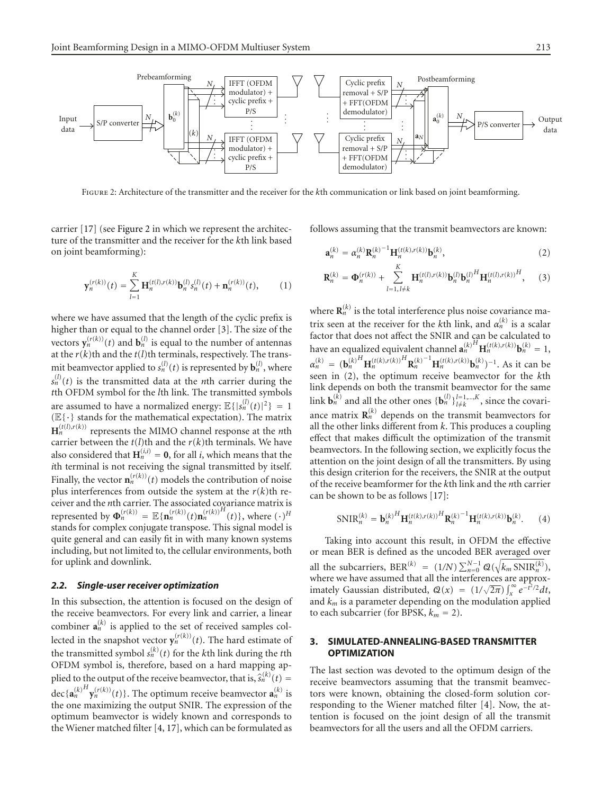

FIGURE 2: Architecture of the transmitter and the receiver for the *k*th communication or link based on joint beamforming.

<span id="page-3-2"></span><span id="page-3-1"></span>carrier [\[17](#page-10-16)] (see [Figure 2](#page-3-2) in which we represent the architecture of the transmitter and the receiver for the *k*th link based on joint beamforming):

$$
\mathbf{y}_n^{(r(k))}(t) = \sum_{l=1}^K \mathbf{H}_n^{(t(l),r(k))} \mathbf{b}_n^{(l)} s_n^{(l)}(t) + \mathbf{n}_n^{(r(k))}(t), \qquad (1)
$$

where we have assumed that the length of the cyclic prefix is higher than or equal to the channel order [\[3](#page-10-2)]. The size of the vectors  $y_n^{(r(k))}(t)$  and  $b_n^{(l)}$  is equal to the number of antennas at the  $r(k)$ th and the  $t(l)$ th terminals, respectively. The transmit beamvector applied to  $s_n^{(l)}(t)$  is represented by  $\mathbf{b}_n^{(l)}$ , where  $s_n^{(l)}(t)$  is the transmitted data at the *n*th carrier during the *t*th OFDM symbol for the *l*th link. The transmitted symbols are assumed to have a normalized energy:  $\mathbb{E}\{|s_n^{(l)}(t)|^2\} = 1$  $(E\{\cdot\})$  stands for the mathematical expectation). The matrix  $H_n^{(t(l),r(k))}$  represents the MIMO channel response at the *n*th carrier between the  $t(l)$ th and the  $r(k)$ th terminals. We have also considered that  $\mathbf{H}_{n}^{(i,i)} = \mathbf{0}$ , for all *i*, which means that the *i*th terminal is not receiving the signal transmitted by itself. Finally, the vector  $\mathbf{n}_n^{(r(k))}(t)$  models the contribution of noise plus interferences from outside the system at the  $r(k)$ th receiver and the *n*th carrier. The associated covariance matrix is represented by  $\Phi_n^{(r(k))} = \mathbb{E}\{\mathbf{n}_n^{(r(k))}(t)\mathbf{n}_n^{(r(k))H}(t)\},$  where  $(\cdot)^H$ stands for complex conjugate transpose. This signal model is quite general and can easily fit in with many known systems including, but not limited to, the cellular environments, both for uplink and downlink.

# *2.2. Single-user receiver optimization*

In this subsection, the attention is focused on the design of the receive beamvectors. For every link and carrier, a linear combiner  $\mathbf{a}_n^{(k)}$  is applied to the set of received samples collected in the snapshot vector  $y_n^{(r(k))}(t)$ . The hard estimate of the transmitted symbol  $s_n^{(k)}(t)$  for the *k*th link during the *t*th OFDM symbol is, therefore, based on a hard mapping applied to the output of the receive beamvector, that is,  $\hat{s}_n^{(k)}(t) =$  $\text{dec}\{\mathbf{a}_n^{(k)}\}_{n=1}^H$   $\mathbf{y}_n^{(r(k))}(t)\}\)$ . The optimum receive beamvector  $\mathbf{a}_n^{(k)}$  is the one maximizing the output SNIR. The expression of the optimum beamvector is widely known and corresponds to the Wiener matched filter [\[4,](#page-10-3) [17\]](#page-10-16), which can be formulated as

follows assuming that the transmit beamvectors are known:

<span id="page-3-4"></span><span id="page-3-3"></span>
$$
\mathbf{a}_n^{(k)} = \alpha_n^{(k)} \mathbf{R}_n^{(k)}{}^{-1} \mathbf{H}_n^{(t(k),r(k))} \mathbf{b}_n^{(k)},
$$
\n(2)

$$
\mathbf{R}_n^{(k)} = \mathbf{\Phi}_n^{(r(k))} + \sum_{l=1, l \neq k}^K \mathbf{H}_n^{(t(l), r(k))} \mathbf{b}_n^{(l)} \mathbf{b}_n^{(l)H} \mathbf{H}_n^{(t(l), r(k))H}, \quad (3)
$$

where  $\mathbf{R}_{n}^{(k)}$  is the total interference plus noise covariance matrix seen at the receiver for the *k*th link, and  $\alpha_n^{(k)}$  is a scalar factor that does not affect the SNIR and can be calculated to have an equalized equivalent channel  $\mathbf{a}_n^{(k)H} \mathbf{H}_n^{(t(k), r(k))} \mathbf{b}_n^{(k)} = 1$ ,  $\alpha_n^{(k)} = (\mathbf{b}_n^{(k)}^H \mathbf{H}_n^{(t(k),r(k))H} \mathbf{R}_n^{(k)}^{-1} \mathbf{H}_n^{(t(k),r(k))} \mathbf{b}_n^{(k)})^{-1}$ . As it can be seen in [\(2\)](#page-3-3), the optimum receive beamvector for the *k*th link depends on both the transmit beamvector for the same link  $\mathbf{b}_n^{(k)}$  and all the other ones  ${\{\mathbf{b}_n^{(l)}\}}_{l \neq k}^{l=1,\dots,K}$ , since the covariance matrix  $\mathbf{R}_n^{(k)}$  depends on the transmit beamvectors for all the other links different from *k*. This produces a coupling effect that makes difficult the optimization of the transmit beamvectors. In the following section, we explicitly focus the attention on the joint design of all the transmitters. By using this design criterion for the receivers, the SNIR at the output of the receive beamformer for the *k*th link and the *n*th carrier can be shown to be as follows [\[17\]](#page-10-16):

<span id="page-3-5"></span>
$$
\text{SNIR}_n^{(k)} = \mathbf{b}_n^{(k)}^H \mathbf{H}_n^{(t(k),r(k))H} \mathbf{R}_n^{(k)}^{-1} \mathbf{H}_n^{(t(k),r(k))} \mathbf{b}_n^{(k)}.
$$
 (4)

Taking into account this result, in OFDM the effective or mean BER is defined as the uncoded BER averaged over all the subcarriers,  $BER^{(k)} = (1/N) \sum_{n=0}^{N-1} Q(\sqrt{k_m \text{SNIR}_n^{(k)}}),$ where we have assumed that all the interferences are approximately Gaussian distributed,  $Q(x) = (1/\sqrt{2\pi}) \int_{x}^{\infty} e^{-t^2/2} dt$ , and  $k_m$  is a parameter depending on the modulation applied to each subcarrier (for BPSK,  $k_m = 2$ ).

## <span id="page-3-0"></span>**3. SIMULATED-ANNEALING-BASED TRANSMITTER OPTIMIZATION**

The last section was devoted to the optimum design of the receive beamvectors assuming that the transmit beamvectors were known, obtaining the closed-form solution corresponding to the Wiener matched filter [\[4\]](#page-10-3). Now, the attention is focused on the joint design of all the transmit beamvectors for all the users and all the OFDM carriers.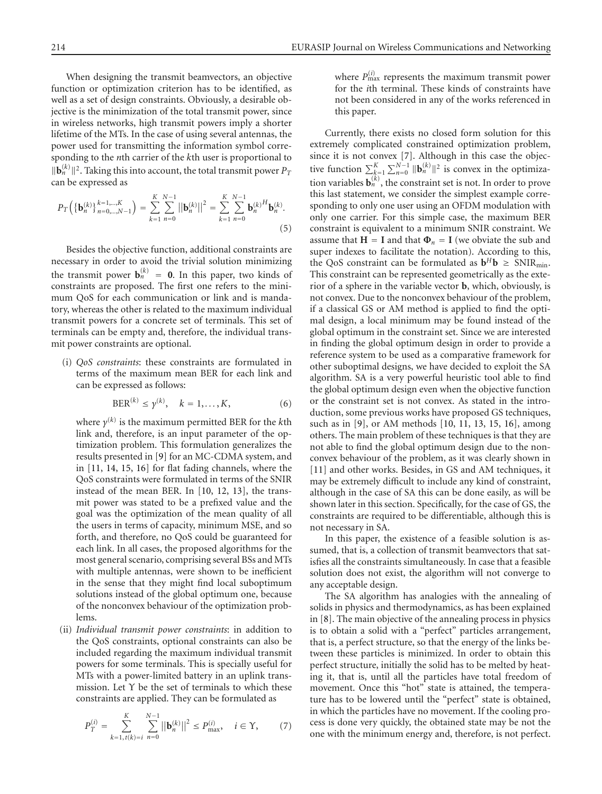When designing the transmit beamvectors, an objective function or optimization criterion has to be identified, as well as a set of design constraints. Obviously, a desirable objective is the minimization of the total transmit power, since in wireless networks, high transmit powers imply a shorter lifetime of the MTs. In the case of using several antennas, the power used for transmitting the information symbol corresponding to the *n*th carrier of the *k*th user is proportional to  $\|\mathbf{b}_n^{(k)}\|^2$ . Taking this into account, the total transmit power  $P_T$ can be expressed as

$$
P_T\left(\{\mathbf{b}_n^{(k)}\}_{n=0,\ldots,N-1}^{k=1,\ldots,K}\right) = \sum_{k=1}^K \sum_{n=0}^{N-1} \left|\left|\mathbf{b}_n^{(k)}\right|\right|^2 = \sum_{k=1}^K \sum_{n=0}^{N-1} \mathbf{b}_n^{(k)H} \mathbf{b}_n^{(k)}.
$$
\n(5)

Besides the objective function, additional constraints are necessary in order to avoid the trivial solution minimizing the transmit power  $\mathbf{b}_n^{(k)} = \mathbf{0}$ . In this paper, two kinds of constraints are proposed. The first one refers to the minimum QoS for each communication or link and is mandatory, whereas the other is related to the maximum individual transmit powers for a concrete set of terminals. This set of terminals can be empty and, therefore, the individual transmit power constraints are optional.

(i) *QoS constraints*: these constraints are formulated in terms of the maximum mean BER for each link and can be expressed as follows:

$$
\text{BER}^{(k)} \le \gamma^{(k)}, \quad k = 1, \dots, K, \tag{6}
$$

where *γ*(*k*) is the maximum permitted BER for the *k*th link and, therefore, is an input parameter of the optimization problem. This formulation generalizes the results presented in [\[9\]](#page-10-8) for an MC-CDMA system, and in [\[11](#page-10-10), [14](#page-10-13), [15](#page-10-14), [16](#page-10-15)] for flat fading channels, where the QoS constraints were formulated in terms of the SNIR instead of the mean BER. In [\[10](#page-10-9), [12,](#page-10-11) [13](#page-10-12)], the transmit power was stated to be a prefixed value and the goal was the optimization of the mean quality of all the users in terms of capacity, minimum MSE, and so forth, and therefore, no QoS could be guaranteed for each link. In all cases, the proposed algorithms for the most general scenario, comprising several BSs and MTs with multiple antennas, were shown to be inefficient in the sense that they might find local suboptimum solutions instead of the global optimum one, because of the nonconvex behaviour of the optimization problems.

(ii) *Individual transmit power constraints*: in addition to the QoS constraints, optional constraints can also be included regarding the maximum individual transmit powers for some terminals. This is specially useful for MTs with a power-limited battery in an uplink transmission. Let Υ be the set of terminals to which these constraints are applied. They can be formulated as

$$
P_T^{(i)} = \sum_{k=1, t(k)=i}^{K} \sum_{n=0}^{N-1} ||\mathbf{b}_n^{(k)}||^2 \le P_{\text{max}}^{(i)}, \quad i \in \Upsilon,
$$
 (7)

where  $P_{\text{max}}^{(i)}$  represents the maximum transmit power for the *i*th terminal. These kinds of constraints have not been considered in any of the works referenced in this paper.

Currently, there exists no closed form solution for this extremely complicated constrained optimization problem, since it is not convex [\[7\]](#page-10-6). Although in this case the objective function  $\sum_{k=1}^{K} \sum_{n=0}^{N-1} ||\mathbf{b}_n^{(k)}||^2$  is convex in the optimization variables  $\mathbf{b}_n^{(k)}$ , the constraint set is not. In order to prove this last statement, we consider the simplest example corresponding to only one user using an OFDM modulation with only one carrier. For this simple case, the maximum BER constraint is equivalent to a minimum SNIR constraint. We assume that  $H = I$  and that  $\Phi_n = I$  (we obviate the sub and super indexes to facilitate the notation). According to this, the QoS constraint can be formulated as  $\mathbf{b}^H \mathbf{b} \geq \text{SNIR}_{\text{min}}$ . This constraint can be represented geometrically as the exterior of a sphere in the variable vector **b**, which, obviously, is not convex. Due to the nonconvex behaviour of the problem, if a classical GS or AM method is applied to find the optimal design, a local minimum may be found instead of the global optimum in the constraint set. Since we are interested in finding the global optimum design in order to provide a reference system to be used as a comparative framework for other suboptimal designs, we have decided to exploit the SA algorithm. SA is a very powerful heuristic tool able to find the global optimum design even when the objective function or the constraint set is not convex. As stated in the introduction, some previous works have proposed GS techniques, such as in [\[9](#page-10-8)], or AM methods [\[10,](#page-10-9) [11,](#page-10-10) [13](#page-10-12), [15](#page-10-14), [16](#page-10-15)], among others. The main problem of these techniques is that they are not able to find the global optimum design due to the nonconvex behaviour of the problem, as it was clearly shown in [\[11](#page-10-10)] and other works. Besides, in GS and AM techniques, it may be extremely difficult to include any kind of constraint, although in the case of SA this can be done easily, as will be shown later in this section. Specifically, for the case of GS, the constraints are required to be differentiable, although this is not necessary in SA.

In this paper, the existence of a feasible solution is assumed, that is, a collection of transmit beamvectors that satisfies all the constraints simultaneously. In case that a feasible solution does not exist, the algorithm will not converge to any acceptable design.

The SA algorithm has analogies with the annealing of solids in physics and thermodynamics, as has been explained in [\[8\]](#page-10-7). The main objective of the annealing process in physics is to obtain a solid with a "perfect" particles arrangement, that is, a perfect structure, so that the energy of the links between these particles is minimized. In order to obtain this perfect structure, initially the solid has to be melted by heating it, that is, until all the particles have total freedom of movement. Once this "hot" state is attained, the temperature has to be lowered until the "perfect" state is obtained, in which the particles have no movement. If the cooling process is done very quickly, the obtained state may be not the one with the minimum energy and, therefore, is not perfect.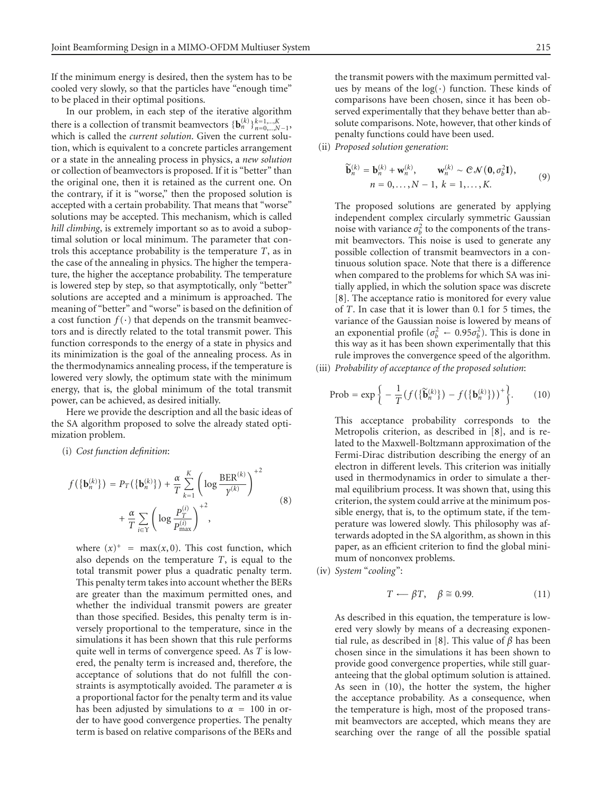If the minimum energy is desired, then the system has to be cooled very slowly, so that the particles have "enough time" to be placed in their optimal positions.

In our problem, in each step of the iterative algorithm there is a collection of transmit beamvectors  ${\{\mathbf{b}_n^{(k)}\}}_{n=0,\dots,N-1}^{k=1,\dots,K}$ , which is called the *current solution*. Given the current solution, which is equivalent to a concrete particles arrangement or a state in the annealing process in physics, a *new solution* or collection of beamvectors is proposed. If it is "better" than the original one, then it is retained as the current one. On the contrary, if it is "worse," then the proposed solution is accepted with a certain probability. That means that "worse" solutions may be accepted. This mechanism, which is called *hill climbing*, is extremely important so as to avoid a suboptimal solution or local minimum. The parameter that controls this acceptance probability is the temperature *T*, as in the case of the annealing in physics. The higher the temperature, the higher the acceptance probability. The temperature is lowered step by step, so that asymptotically, only "better" solutions are accepted and a minimum is approached. The meaning of "better" and "worse" is based on the definition of a cost function  $f(\cdot)$  that depends on the transmit beamvectors and is directly related to the total transmit power. This function corresponds to the energy of a state in physics and its minimization is the goal of the annealing process. As in the thermodynamics annealing process, if the temperature is lowered very slowly, the optimum state with the minimum energy, that is, the global minimum of the total transmit power, can be achieved, as desired initially.

Here we provide the description and all the basic ideas of the SA algorithm proposed to solve the already stated optimization problem.

(i) *Cost function definition*:

$$
f(\{\mathbf{b}_n^{(k)}\}) = P_T(\{\mathbf{b}_n^{(k)}\}) + \frac{\alpha}{T} \sum_{k=1}^K \left( \log \frac{\text{BER}^{(k)}}{\gamma^{(k)}} \right)^{+2} + \frac{\alpha}{T} \sum_{i \in \Upsilon} \left( \log \frac{P_T^{(i)}}{P_{\text{max}}^{(i)}} \right)^{+2},
$$
\n(8)

where  $(x)^+$  = max $(x, 0)$ . This cost function, which also depends on the temperature *T*, is equal to the total transmit power plus a quadratic penalty term. This penalty term takes into account whether the BERs are greater than the maximum permitted ones, and whether the individual transmit powers are greater than those specified. Besides, this penalty term is inversely proportional to the temperature, since in the simulations it has been shown that this rule performs quite well in terms of convergence speed. As *T* is lowered, the penalty term is increased and, therefore, the acceptance of solutions that do not fulfill the constraints is asymptotically avoided. The parameter *α* is a proportional factor for the penalty term and its value has been adjusted by simulations to  $\alpha = 100$  in order to have good convergence properties. The penalty term is based on relative comparisons of the BERs and

the transmit powers with the maximum permitted values by means of the  $log(\cdot)$  function. These kinds of comparisons have been chosen, since it has been observed experimentally that they behave better than absolute comparisons. Note, however, that other kinds of penalty functions could have been used.

(ii) *Proposed solution generation*:

$$
\widetilde{\mathbf{b}}_n^{(k)} = \mathbf{b}_n^{(k)} + \mathbf{w}_n^{(k)}, \qquad \mathbf{w}_n^{(k)} \sim \mathcal{CN}(\mathbf{0}, \sigma_b^2 \mathbf{I}),
$$
\n
$$
n = 0, \ldots, N - 1, k = 1, \ldots, K.
$$
\n(9)

The proposed solutions are generated by applying independent complex circularly symmetric Gaussian noise with variance  $\sigma_b^2$  to the components of the transmit beamvectors. This noise is used to generate any possible collection of transmit beamvectors in a continuous solution space. Note that there is a difference when compared to the problems for which SA was initially applied, in which the solution space was discrete [\[8](#page-10-7)]. The acceptance ratio is monitored for every value of *T*. In case that it is lower than 0*.*1 for 5 times, the variance of the Gaussian noise is lowered by means of an exponential profile ( $\sigma_b^2 \leftarrow 0.95 \sigma_b^2$ ). This is done in this way as it has been shown experimentally that this rule improves the convergence speed of the algorithm.

(iii) *Probability of acceptance of the proposed solution*:

<span id="page-5-0"></span>Prob = exp 
$$
\left\{ -\frac{1}{T} (f(\{\tilde{\mathbf{b}}_n^{(k)}\}) - f(\{\mathbf{b}_n^{(k)}\})^+ \right\}
$$
. (10)

This acceptance probability corresponds to the Metropolis criterion, as described in [\[8\]](#page-10-7), and is related to the Maxwell-Boltzmann approximation of the Fermi-Dirac distribution describing the energy of an electron in different levels. This criterion was initially used in thermodynamics in order to simulate a thermal equilibrium process. It was shown that, using this criterion, the system could arrive at the minimum possible energy, that is, to the optimum state, if the temperature was lowered slowly. This philosophy was afterwards adopted in the SA algorithm, as shown in this paper, as an efficient criterion to find the global minimum of nonconvex problems.

(iv) *System* "*cooling*":

$$
T \longleftarrow \beta T, \quad \beta \cong 0.99. \tag{11}
$$

As described in this equation, the temperature is lowered very slowly by means of a decreasing exponential rule, as described in [\[8\]](#page-10-7). This value of *β* has been chosen since in the simulations it has been shown to provide good convergence properties, while still guaranteeing that the global optimum solution is attained. As seen in [\(10\)](#page-5-0), the hotter the system, the higher the acceptance probability. As a consequence, when the temperature is high, most of the proposed transmit beamvectors are accepted, which means they are searching over the range of all the possible spatial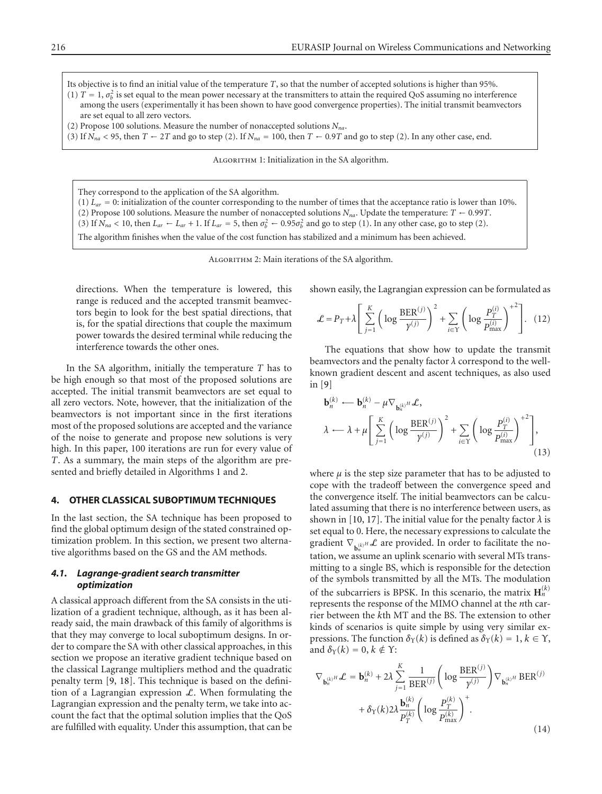Its objective is to find an initial value of the temperature *T*, so that the number of accepted solutions is higher than 95%.

- (1)  $T = 1$ ,  $\sigma_b^2$  is set equal to the mean power necessary at the transmitters to attain the required QoS assuming no interference among the users (experimentally it has been shown to have good convergence properties). The initial transmit beamvectors are set equal to all zero vectors.
- (2) Propose 100 solutions. Measure the number of nonaccepted solutions  $N_{na}$ .
- (3) If  $N_{na}$  < 95, then  $T \leftarrow 2T$  and go to step (2). If  $N_{na} = 100$ , then  $T \leftarrow 0.9T$  and go to step (2). In any other case, end.

<span id="page-6-1"></span>Algorithm 1: Initialization in the SA algorithm.

They correspond to the application of the SA algorithm.

 $(1)$   $L_{ar} = 0$ : initialization of the counter corresponding to the number of times that the acceptance ratio is lower than 10%. (2) Propose 100 solutions. Measure the number of nonaccepted solutions  $N_{na}$ . Update the temperature:  $T \leftarrow 0.99T$ . (3) If  $\hat{N}_{na}$  < 10, then  $L_{ar}$  ←  $L_{ar}$  + 1. If  $L_{ar}$  = 5, then  $\sigma_b^2$  ← 0.95 $\sigma_b^2$  and go to step (1). In any other case, go to step (2). The algorithm finishes when the value of the cost function has stabilized and a minimum has been achieved.

<span id="page-6-2"></span>Algorithm 2: Main iterations of the SA algorithm.

directions. When the temperature is lowered, this range is reduced and the accepted transmit beamvectors begin to look for the best spatial directions, that is, for the spatial directions that couple the maximum power towards the desired terminal while reducing the interference towards the other ones.

In the SA algorithm, initially the temperature *T* has to be high enough so that most of the proposed solutions are accepted. The initial transmit beamvectors are set equal to all zero vectors. Note, however, that the initialization of the beamvectors is not important since in the first iterations most of the proposed solutions are accepted and the variance of the noise to generate and propose new solutions is very high. In this paper, 100 iterations are run for every value of *T*. As a summary, the main steps of the algorithm are presented and briefly detailed in Algorithms [1](#page-6-1) and [2.](#page-6-2)

#### <span id="page-6-0"></span>**4. OTHER CLASSICAL SUBOPTIMUM TECHNIQUES**

In the last section, the SA technique has been proposed to find the global optimum design of the stated constrained optimization problem. In this section, we present two alternative algorithms based on the GS and the AM methods.

# *4.1. Lagrange-gradient search transmitter optimization*

A classical approach different from the SA consists in the utilization of a gradient technique, although, as it has been already said, the main drawback of this family of algorithms is that they may converge to local suboptimum designs. In order to compare the SA with other classical approaches, in this section we propose an iterative gradient technique based on the classical Lagrange multipliers method and the quadratic penalty term [\[9,](#page-10-8) [18\]](#page-10-17). This technique is based on the definition of a Lagrangian expression  $\mathcal{L}$ . When formulating the Lagrangian expression and the penalty term, we take into account the fact that the optimal solution implies that the QoS are fulfilled with equality. Under this assumption, that can be

shown easily, the Lagrangian expression can be formulated as

<span id="page-6-3"></span>
$$
\mathcal{L} = P_T + \lambda \left[ \sum_{j=1}^{K} \left( \log \frac{\text{BER}^{(j)}}{\gamma^{(j)}} \right)^2 + \sum_{i \in \Upsilon} \left( \log \frac{P_T^{(i)}}{P_{\text{max}}^{(i)}} \right)^{2} \right]. \tag{12}
$$

The equations that show how to update the transmit beamvectors and the penalty factor *λ* correspond to the wellknown gradient descent and ascent techniques, as also used in [\[9\]](#page-10-8)

$$
\mathbf{b}_{n}^{(k)} \leftarrow \mathbf{b}_{n}^{(k)} - \mu \nabla_{\mathbf{b}_{n}^{(k)}} \mathcal{L},
$$
\n
$$
\lambda \leftarrow \lambda + \mu \left[ \sum_{j=1}^{K} \left( \log \frac{\text{BER}^{(j)}}{\gamma^{(j)}} \right)^{2} + \sum_{i \in \Upsilon} \left( \log \frac{P_{T}^{(i)}}{P_{\max}^{(i)}} \right)^{2} \right],
$$
\n(13)

where  $\mu$  is the step size parameter that has to be adjusted to cope with the tradeoff between the convergence speed and the convergence itself. The initial beamvectors can be calculated assuming that there is no interference between users, as shown in [\[10,](#page-10-9) [17](#page-10-16)]. The initial value for the penalty factor  $\lambda$  is set equal to 0. Here, the necessary expressions to calculate the gradient  $\nabla_{\mathbf{b}_n^{(k)}}^H \mathcal{L}$  are provided. In order to facilitate the notation, we assume an uplink scenario with several MTs transmitting to a single BS, which is responsible for the detection of the symbols transmitted by all the MTs. The modulation of the subcarriers is BPSK. In this scenario, the matrix  $\mathbf{H}_n^{(k)}$ represents the response of the MIMO channel at the *n*th carrier between the *k*th MT and the BS. The extension to other kinds of scenarios is quite simple by using very similar expressions. The function  $\delta_Y(k)$  is defined as  $\delta_Y(k) = 1, k \in Y$ , and  $\delta_Y(k) = 0, k \notin Y$ :

$$
\nabla_{\mathbf{b}_{n}^{(k)}} \mathcal{L} = \mathbf{b}_{n}^{(k)} + 2\lambda \sum_{j=1}^{K} \frac{1}{\text{BER}^{(j)}} \left( \log \frac{\text{BER}^{(j)}}{\gamma^{(j)}} \right) \nabla_{\mathbf{b}_{n}^{(k)}} \text{BER}^{(j)} + \delta_{\Upsilon}(k) 2\lambda \frac{\mathbf{b}_{n}^{(k)}}{P_{\Upsilon}^{(k)}} \left( \log \frac{P_{\Upsilon}^{(k)}}{P_{\text{max}}^{(k)}} \right)^{+} . \tag{14}
$$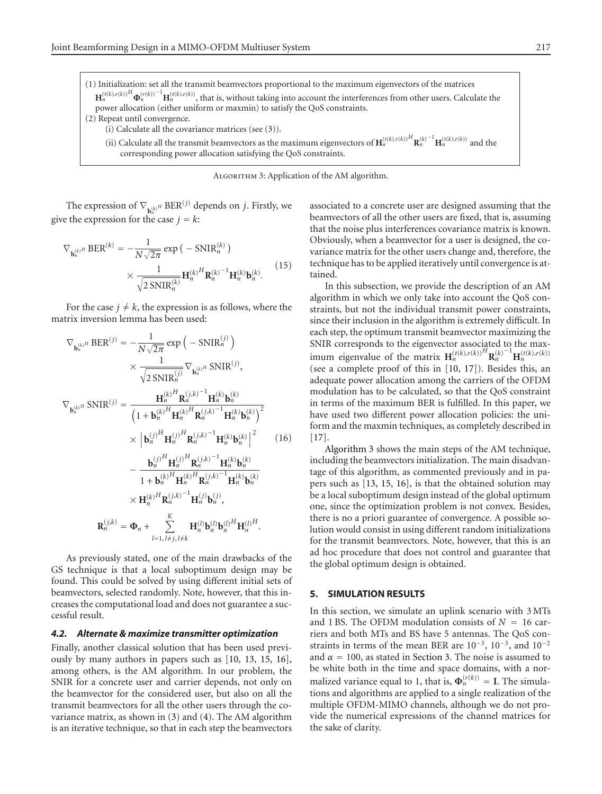(1) Initialization: set all the transmit beamvectors proportional to the maximum eigenvectors of the matrices  $\mathbf{H}_{n}^{(t(k),r(k))H}\mathbf{\Phi}_{n}^{(r(k))-1}\mathbf{H}_{n}^{(t(k),r(k))}$ , that is, without taking into account the interferences from other users. Calculate the power allocation (either uniform or maxmin) to satisfy the QoS constraints. (2) Repeat until convergence. (i) Calculate all the covariance matrices (see [\(3\)](#page-3-4)). (ii) Calculate all the transmit beamvectors as the maximum eigenvectors of  $\mathbf{H}_n^{(t(k), r(k))H} \mathbf{R}_n^{(t(k)-1)} \mathbf{H}_n^{(t(k), r(k))}$  and the

corresponding power allocation satisfying the QoS constraints.

<span id="page-7-1"></span>Algorithm 3: Application of the AM algorithm.

The expression of  $\nabla_{\mathbf{b}_n^{(k)}}^H \text{ BER}^{(j)}$  depends on *j*. Firstly, we give the expression for the case  $j = k$ :

$$
\nabla_{\mathbf{b}_{n}^{(k)}}^H \text{ BER}^{(k)} = -\frac{1}{N\sqrt{2\pi}} \exp\left(-\text{SNIR}_n^{(k)}\right)
$$

$$
\times \frac{1}{\sqrt{2\text{SNIR}_n^{(k)}}} \mathbf{H}_n^{(k)}^H \mathbf{R}_n^{(k)} \mathbf{H}_n^{(k)} \mathbf{b}_n^{(k)}.
$$
(15)

For the case  $j \neq k$ , the expression is as follows, where the matrix inversion lemma has been used:

$$
\nabla_{\mathbf{b}_{n}^{(k)}}^{H} \text{BER}^{(j)} = -\frac{1}{N\sqrt{2\pi}} \exp\left(-\text{SNIR}_{n}^{(j)}\right)
$$

$$
\times \frac{1}{\sqrt{2 \text{SNIR}_{n}^{(j)}}} \nabla_{\mathbf{b}_{n}^{(k)}}^{H} \text{SNIR}^{(j)},
$$

$$
\nabla_{\mathbf{b}_{n}^{(k)}}^{H} \text{SNIR}^{(j)} = \frac{\mathbf{H}_{n}^{(k)H} \mathbf{R}_{n}^{(j,k)-1} \mathbf{H}_{n}^{(k)} \mathbf{b}_{n}^{(k)}}{\left(1 + \mathbf{b}_{n}^{(k)H} \mathbf{H}_{n}^{(k)H} \mathbf{R}_{n}^{(j,k)-1} \mathbf{H}_{n}^{(k)} \mathbf{b}_{n}^{(k)}\right)^{2}} \times \left|\mathbf{b}_{n}^{(j)H} \mathbf{H}_{n}^{(j)H} \mathbf{R}_{n}^{(j,k)-1} \mathbf{H}_{n}^{(k)} \mathbf{b}_{n}^{(k)}\right|^{2} \qquad (16)
$$

$$
-\frac{\mathbf{b}_{n}^{(j)H} \mathbf{H}_{n}^{(j)H} \mathbf{R}_{n}^{(j,k)-1} \mathbf{H}_{n}^{(k)} \mathbf{b}_{n}^{(k)}}{1 + \mathbf{b}_{n}^{(k)H} \mathbf{H}_{n}^{(k)H} \mathbf{R}_{n}^{(j,k)-1} \mathbf{H}_{n}^{(k)} \mathbf{b}_{n}^{(k)}}
$$

$$
\times \mathbf{H}_{n}^{(k)H} \mathbf{R}_{n}^{(j,k)-1} \mathbf{H}_{n}^{(j)} \mathbf{b}_{n}^{(j)},
$$

$$
\mathbf{R}_{n}^{(j,k)} = \mathbf{\Phi}_{n} + \sum_{l=1, l \neq j, l \neq k}^{K} \mathbf{H}_{n}^{(l)} \mathbf{b}_{n}^{(l)} \mathbf{b}_{n}^{(l)H} \mathbf{H}_{n}^{(l)H}.
$$

As previously stated, one of the main drawbacks of the GS technique is that a local suboptimum design may be found. This could be solved by using different initial sets of beamvectors, selected randomly. Note, however, that this increases the computational load and does not guarantee a successful result.

#### *4.2. Alternate & maximize transmitter optimization*

Finally, another classical solution that has been used previously by many authors in papers such as [\[10,](#page-10-9) [13,](#page-10-12) [15](#page-10-14), [16\]](#page-10-15), among others, is the AM algorithm. In our problem, the SNIR for a concrete user and carrier depends, not only on the beamvector for the considered user, but also on all the transmit beamvectors for all the other users through the covariance matrix, as shown in [\(3\)](#page-3-4) and [\(4\)](#page-3-5). The AM algorithm is an iterative technique, so that in each step the beamvectors

associated to a concrete user are designed assuming that the beamvectors of all the other users are fixed, that is, assuming that the noise plus interferences covariance matrix is known. Obviously, when a beamvector for a user is designed, the covariance matrix for the other users change and, therefore, the technique has to be applied iteratively until convergence is attained.

In this subsection, we provide the description of an AM algorithm in which we only take into account the QoS constraints, but not the individual transmit power constraints, since their inclusion in the algorithm is extremely difficult. In each step, the optimum transmit beamvector maximizing the SNIR corresponds to the eigenvector associated to the maximum eigenvalue of the matrix  $\mathbf{H}_{n}^{(t(k), r(k))H}$  $\mathbf{R}_{n}^{(k)}$ <sup>-1</sup> $\mathbf{H}_{n}^{(t(k), r(k))}$ (see a complete proof of this in [\[10,](#page-10-9) [17](#page-10-16)]). Besides this, an adequate power allocation among the carriers of the OFDM modulation has to be calculated, so that the QoS constraint in terms of the maximum BER is fulfilled. In this paper, we have used two different power allocation policies: the uniform and the maxmin techniques, as completely described in  $[17]$  $[17]$ .

[Algorithm 3](#page-7-1) shows the main steps of the AM technique, including the beamvectors initialization. The main disadvantage of this algorithm, as commented previously and in papers such as [\[13](#page-10-12), [15,](#page-10-14) [16\]](#page-10-15), is that the obtained solution may be a local suboptimum design instead of the global optimum one, since the optimization problem is not convex. Besides, there is no a priori guarantee of convergence. A possible solution would consist in using different random initializations for the transmit beamvectors. Note, however, that this is an ad hoc procedure that does not control and guarantee that the global optimum design is obtained.

#### <span id="page-7-0"></span>**5. SIMULATION RESULTS**

In this section, we simulate an uplink scenario with 3 MTs and 1 BS. The OFDM modulation consists of  $N = 16$  carriers and both MTs and BS have 5 antennas. The QoS constraints in terms of the mean BER are 10−3, 10−3, and 10−<sup>2</sup> and  $\alpha = 100$ , as stated in [Section 3.](#page-3-0) The noise is assumed to be white both in the time and space domains, with a normalized variance equal to 1, that is,  $\Phi_n^{(r(k))} = I$ . The simulations and algorithms are applied to a single realization of the multiple OFDM-MIMO channels, although we do not provide the numerical expressions of the channel matrices for the sake of clarity.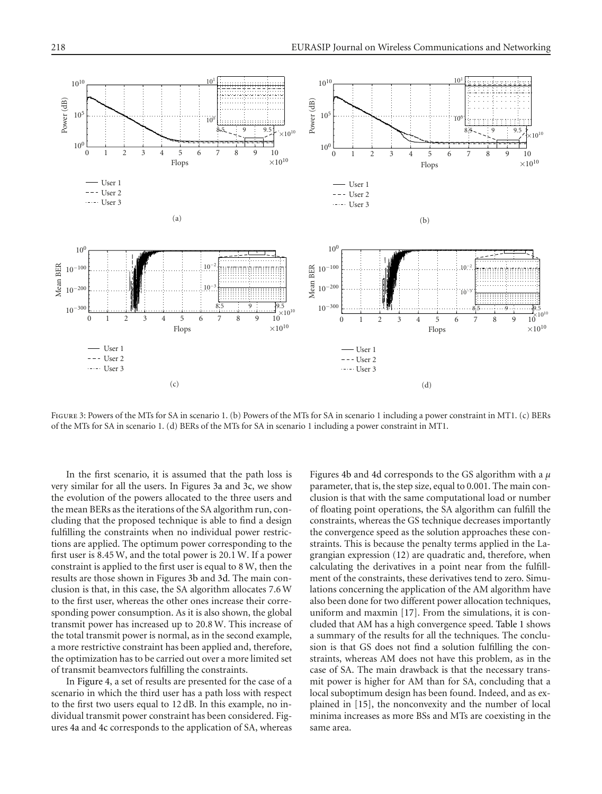<span id="page-8-4"></span><span id="page-8-3"></span><span id="page-8-2"></span><span id="page-8-1"></span>

Figure 3: Powers of the MTs for SA in scenario 1. (b) Powers of the MTs for SA in scenario 1 including a power constraint in MT1. (c) BERs of the MTs for SA in scenario 1. (d) BERs of the MTs for SA in scenario 1 including a power constraint in MT1.

In the first scenario, it is assumed that the path loss is very similar for all the users. In Figures [3a](#page-8-1) and [3c,](#page-8-2) we show the evolution of the powers allocated to the three users and the mean BERs as the iterations of the SA algorithm run, concluding that the proposed technique is able to find a design fulfilling the constraints when no individual power restrictions are applied. The optimum power corresponding to the first user is 8.45 W, and the total power is 20.1 W. If a power constraint is applied to the first user is equal to 8 W, then the results are those shown in Figures [3b](#page-8-3) and [3d.](#page-8-4) The main conclusion is that, in this case, the SA algorithm allocates 7.6 W to the first user, whereas the other ones increase their corresponding power consumption. As it is also shown, the global transmit power has increased up to 20.8 W. This increase of the total transmit power is normal, as in the second example, a more restrictive constraint has been applied and, therefore, the optimization has to be carried out over a more limited set of transmit beamvectors fulfilling the constraints.

<span id="page-8-0"></span>In [Figure 4,](#page-9-0) a set of results are presented for the case of a scenario in which the third user has a path loss with respect to the first two users equal to 12 dB. In this example, no individual transmit power constraint has been considered. Figures [4a](#page-9-1) and [4c](#page-9-2) corresponds to the application of SA, whereas

Figures [4b](#page-9-3) and [4d](#page-9-4) corresponds to the GS algorithm with a *µ* parameter, that is, the step size, equal to 0.001. The main conclusion is that with the same computational load or number of floating point operations, the SA algorithm can fulfill the constraints, whereas the GS technique decreases importantly the convergence speed as the solution approaches these constraints. This is because the penalty terms applied in the Lagrangian expression [\(12\)](#page-6-3) are quadratic and, therefore, when calculating the derivatives in a point near from the fulfillment of the constraints, these derivatives tend to zero. Simulations concerning the application of the AM algorithm have also been done for two different power allocation techniques, uniform and maxmin [\[17\]](#page-10-16). From the simulations, it is concluded that AM has a high convergence speed. [Table 1](#page-9-5) shows a summary of the results for all the techniques. The conclusion is that GS does not find a solution fulfilling the constraints, whereas AM does not have this problem, as in the case of SA. The main drawback is that the necessary transmit power is higher for AM than for SA, concluding that a local suboptimum design has been found. Indeed, and as explained in [\[15\]](#page-10-14), the nonconvexity and the number of local minima increases as more BSs and MTs are coexisting in the same area.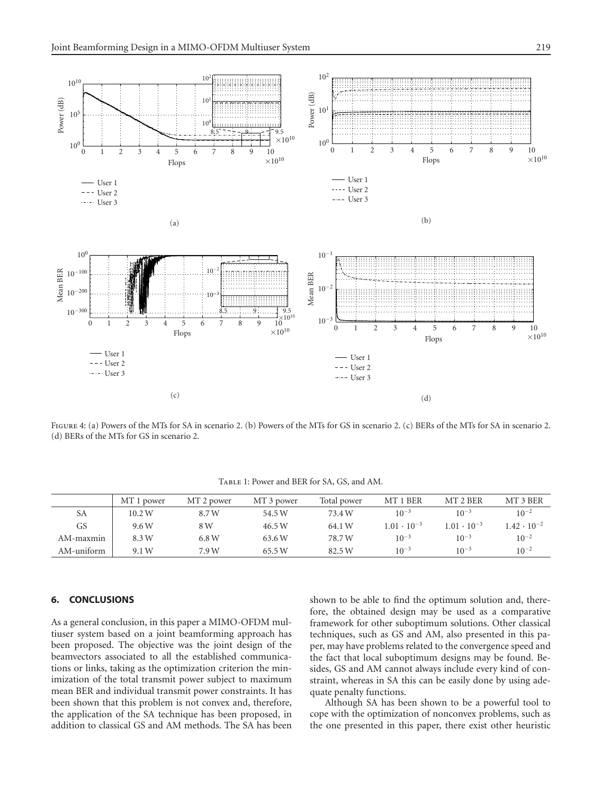<span id="page-9-3"></span><span id="page-9-2"></span><span id="page-9-1"></span>

<span id="page-9-0"></span>Figure 4: (a) Powers of the MTs for SA in scenario 2. (b) Powers of the MTs for GS in scenario 2. (c) BERs of the MTs for SA in scenario 2. (d) BERs of the MTs for GS in scenario 2.

|            | MT 1 power | MT <sub>2</sub> power | MT <sub>3</sub> power | Total power | MT <sub>1</sub> BER  | MT <sub>2</sub> BER  | MT <sub>3</sub> BER  |
|------------|------------|-----------------------|-----------------------|-------------|----------------------|----------------------|----------------------|
| <b>SA</b>  | 10.2 W     | 8.7W                  | 54.5 W                | 73.4 W      | $10^{-3}$            | $10^{-3}$            | $10^{-2}$            |
| GS         | 9.6 W      | 8 W                   | 46.5 W                | 64.1 W      | $1.01 \cdot 10^{-3}$ | $1.01 \cdot 10^{-3}$ | $1.42 \cdot 10^{-2}$ |
| AM-maxmin  | 8.3 W      | 6.8W                  | 63.6W                 | 78.7W       | $10^{-3}$            | $10^{-3}$            | $10^{-2}$            |
| AM-uniform | 9.1 W      | 7.9 W                 | 65.5W                 | 82.5 W      | $10^{-3}$            | $10^{-3}$            | $10^{-2}$            |

<span id="page-9-5"></span><span id="page-9-4"></span>Table 1: Power and BER for SA, GS, and AM.

# **6. CONCLUSIONS**

As a general conclusion, in this paper a MIMO-OFDM multiuser system based on a joint beamforming approach has been proposed. The objective was the joint design of the beamvectors associated to all the established communications or links, taking as the optimization criterion the minimization of the total transmit power subject to maximum mean BER and individual transmit power constraints. It has been shown that this problem is not convex and, therefore, the application of the SA technique has been proposed, in addition to classical GS and AM methods. The SA has been

shown to be able to find the optimum solution and, therefore, the obtained design may be used as a comparative framework for other suboptimum solutions. Other classical techniques, such as GS and AM, also presented in this paper, may have problems related to the convergence speed and the fact that local suboptimum designs may be found. Besides, GS and AM cannot always include every kind of constraint, whereas in SA this can be easily done by using adequate penalty functions.

Although SA has been shown to be a powerful tool to cope with the optimization of nonconvex problems, such as the one presented in this paper, there exist other heuristic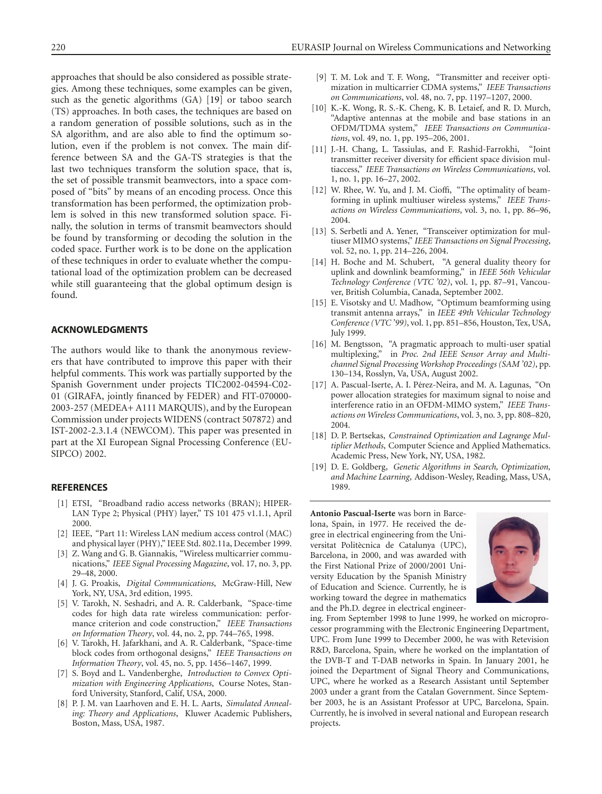approaches that should be also considered as possible strategies. Among these techniques, some examples can be given, such as the genetic algorithms (GA) [\[19\]](#page-10-18) or taboo search (TS) approaches. In both cases, the techniques are based on a random generation of possible solutions, such as in the SA algorithm, and are also able to find the optimum solution, even if the problem is not convex. The main difference between SA and the GA-TS strategies is that the last two techniques transform the solution space, that is, the set of possible transmit beamvectors, into a space composed of "bits" by means of an encoding process. Once this transformation has been performed, the optimization problem is solved in this new transformed solution space. Finally, the solution in terms of transmit beamvectors should be found by transforming or decoding the solution in the coded space. Further work is to be done on the application of these techniques in order to evaluate whether the computational load of the optimization problem can be decreased while still guaranteeing that the global optimum design is found.

#### **ACKNOWLEDGMENTS**

The authors would like to thank the anonymous reviewers that have contributed to improve this paper with their helpful comments. This work was partially supported by the Spanish Government under projects TIC2002-04594-C02- 01 (GIRAFA, jointly financed by FEDER) and FIT-070000- 2003-257 (MEDEA+ A111 MARQUIS), and by the European Commission under projects WIDENS (contract 507872) and IST-2002-2.3.1.4 (NEWCOM). This paper was presented in part at the XI European Signal Processing Conference (EU-SIPCO) 2002.

#### <span id="page-10-0"></span>**REFERENCES**

- [1] ETSI, "Broadband radio access networks (BRAN); HIPER-LAN Type 2; Physical (PHY) layer," TS 101 475 v1.1.1, April 2000.
- <span id="page-10-1"></span>[2] IEEE, "Part 11: Wireless LAN medium access control (MAC) and physical layer (PHY)," IEEE Std. 802.11a, December 1999.
- <span id="page-10-2"></span>[3] Z. Wang and G. B. Giannakis, "Wireless multicarrier communications," *IEEE Signal Processing Magazine*, vol. 17, no. 3, pp. 29–48, 2000.
- <span id="page-10-3"></span>[4] J. G. Proakis, *Digital Communications*, McGraw-Hill, New York, NY, USA, 3rd edition, 1995.
- <span id="page-10-4"></span>[5] V. Tarokh, N. Seshadri, and A. R. Calderbank, "Space-time codes for high data rate wireless communication: performance criterion and code construction," *IEEE Transactions on Information Theory*, vol. 44, no. 2, pp. 744–765, 1998.
- <span id="page-10-5"></span>[6] V. Tarokh, H. Jafarkhani, and A. R. Calderbank, "Space-time block codes from orthogonal designs," *IEEE Transactions on Information Theory*, vol. 45, no. 5, pp. 1456–1467, 1999.
- <span id="page-10-6"></span>[7] S. Boyd and L. Vandenberghe, *Introduction to Convex Optimization with Engineering Applications*, Course Notes, Stanford University, Stanford, Calif, USA, 2000.
- <span id="page-10-7"></span>[8] P. J. M. van Laarhoven and E. H. L. Aarts, *Simulated Annealing: Theory and Applications*, Kluwer Academic Publishers, Boston, Mass, USA, 1987.
- <span id="page-10-8"></span>[9] T. M. Lok and T. F. Wong, "Transmitter and receiver optimization in multicarrier CDMA systems," *IEEE Transactions on Communications*, vol. 48, no. 7, pp. 1197–1207, 2000.
- <span id="page-10-9"></span>[10] K.-K. Wong, R. S.-K. Cheng, K. B. Letaief, and R. D. Murch, "Adaptive antennas at the mobile and base stations in an OFDM/TDMA system," *IEEE Transactions on Communications*, vol. 49, no. 1, pp. 195–206, 2001.
- <span id="page-10-10"></span>[11] J.-H. Chang, L. Tassiulas, and F. Rashid-Farrokhi, "Joint transmitter receiver diversity for efficient space division multiaccess," *IEEE Transactions on Wireless Communications*, vol. 1, no. 1, pp. 16–27, 2002.
- <span id="page-10-11"></span>[12] W. Rhee, W. Yu, and J. M. Cioffi, "The optimality of beamforming in uplink multiuser wireless systems," *IEEE Transactions on Wireless Communications*, vol. 3, no. 1, pp. 86–96, 2004.
- <span id="page-10-12"></span>[13] S. Serbetli and A. Yener, "Transceiver optimization for multiuser MIMO systems," *IEEE Transactions on Signal Processing*, vol. 52, no. 1, pp. 214–226, 2004.
- <span id="page-10-13"></span>[14] H. Boche and M. Schubert, "A general duality theory for uplink and downlink beamforming," in *IEEE 56th Vehicular Technology Conference (VTC '02)*, vol. 1, pp. 87–91, Vancouver, British Columbia, Canada, September 2002.
- <span id="page-10-14"></span>[15] E. Visotsky and U. Madhow, "Optimum beamforming using transmit antenna arrays," in *IEEE 49th Vehicular Technology Conference (VTC '99)*, vol. 1, pp. 851–856, Houston, Tex, USA, July 1999.
- <span id="page-10-15"></span>[16] M. Bengtsson, "A pragmatic approach to multi-user spatial multiplexing," in *Proc. 2nd IEEE Sensor Array and Multichannel Signal Processing Workshop Proceedings (SAM '02)*, pp. 130–134, Rosslyn, Va, USA, August 2002.
- <span id="page-10-16"></span>[17] A. Pascual-Iserte, A. I. Pérez-Neira, and M. A. Lagunas, "On power allocation strategies for maximum signal to noise and interference ratio in an OFDM-MIMO system," *IEEE Transactions on Wireless Communications*, vol. 3, no. 3, pp. 808–820, 2004.
- <span id="page-10-17"></span>[18] D. P. Bertsekas, *Constrained Optimization and Lagrange Multiplier Methods*, Computer Science and Applied Mathematics. Academic Press, New York, NY, USA, 1982.
- <span id="page-10-18"></span>[19] D. E. Goldberg, *Genetic Algorithms in Search, Optimization, and Machine Learning*, Addison-Wesley, Reading, Mass, USA, 1989.

**Antonio Pascual-Iserte** was born in Barcelona, Spain, in 1977. He received the degree in electrical engineering from the Universitat Politècnica de Catalunya (UPC), Barcelona, in 2000, and was awarded with the First National Prize of 2000/2001 University Education by the Spanish Ministry of Education and Science. Currently, he is working toward the degree in mathematics and the Ph.D. degree in electrical engineer-



ing. From September 1998 to June 1999, he worked on microprocessor programming with the Electronic Engineering Department, UPC. From June 1999 to December 2000, he was with Retevision R&D, Barcelona, Spain, where he worked on the implantation of the DVB-T and T-DAB networks in Spain. In January 2001, he joined the Department of Signal Theory and Communications, UPC, where he worked as a Research Assistant until September 2003 under a grant from the Catalan Government. Since September 2003, he is an Assistant Professor at UPC, Barcelona, Spain. Currently, he is involved in several national and European research projects.